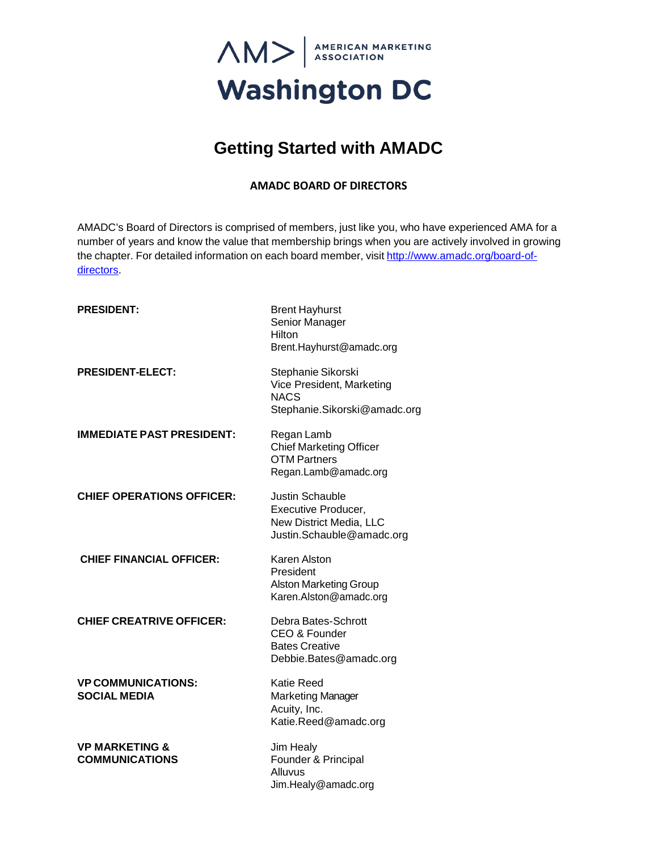

# **Getting Started with AMADC**

## **AMADC BOARD OF DIRECTORS**

AMADC's Board of Directors is comprised of members, just like you, who have experienced AMA for a number of years and know the value that membership brings when you are actively involved in growing the chapter. For detailed information on each board member, visit [http://www.amadc.org/board-of](http://www.amadc.org/board-of-directors)[directors.](http://www.amadc.org/board-of-directors)

| <b>PRESIDENT:</b>                                  | <b>Brent Hayhurst</b><br>Senior Manager<br>Hilton<br>Brent.Hayhurst@amadc.org                                |
|----------------------------------------------------|--------------------------------------------------------------------------------------------------------------|
| <b>PRESIDENT-ELECT:</b>                            | Stephanie Sikorski<br>Vice President, Marketing<br><b>NACS</b><br>Stephanie.Sikorski@amadc.org               |
| <b>IMMEDIATE PAST PRESIDENT:</b>                   | Regan Lamb<br><b>Chief Marketing Officer</b><br>OTM Partners<br>Regan.Lamb@amadc.org                         |
| <b>CHIEF OPERATIONS OFFICER:</b>                   | <b>Justin Schauble</b><br><b>Executive Producer,</b><br>New District Media, LLC<br>Justin.Schauble@amadc.org |
| <b>CHIEF FINANCIAL OFFICER:</b>                    | <b>Karen Alston</b><br>President<br><b>Alston Marketing Group</b><br>Karen.Alston@amadc.org                  |
| <b>CHIEF CREATRIVE OFFICER:</b>                    | Debra Bates-Schrott<br>CEO & Founder<br><b>Bates Creative</b><br>Debbie.Bates@amadc.org                      |
| <b>VP COMMUNICATIONS:</b><br><b>SOCIAL MEDIA</b>   | <b>Katie Reed</b><br><b>Marketing Manager</b><br>Acuity, Inc.<br>Katie.Reed@amadc.org                        |
| <b>VP MARKETING &amp;</b><br><b>COMMUNICATIONS</b> | Jim Healy<br>Founder & Principal<br>Alluvus<br>Jim.Healy@amadc.org                                           |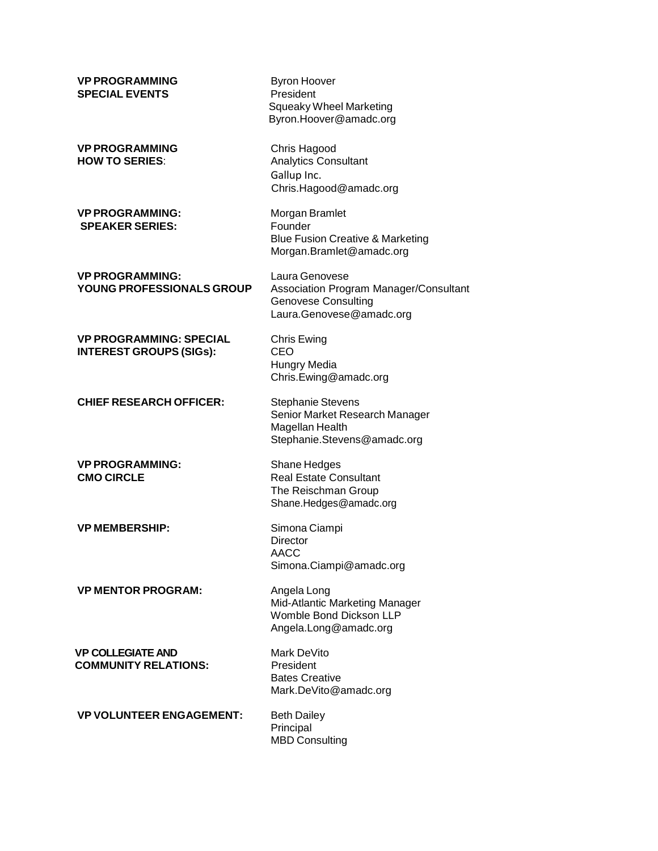| <b>VP PROGRAMMING</b><br><b>SPECIAL EVENTS</b>                   | <b>Byron Hoover</b><br>President<br><b>Squeaky Wheel Marketing</b><br>Byron.Hoover@amadc.org                       |
|------------------------------------------------------------------|--------------------------------------------------------------------------------------------------------------------|
| <b>VP PROGRAMMING</b><br><b>HOW TO SERIES:</b>                   | Chris Hagood<br><b>Analytics Consultant</b><br>Gallup Inc.<br>Chris.Hagood@amadc.org                               |
| <b>VP PROGRAMMING:</b><br><b>SPEAKER SERIES:</b>                 | Morgan Bramlet<br>Founder<br><b>Blue Fusion Creative &amp; Marketing</b><br>Morgan.Bramlet@amadc.org               |
| <b>VP PROGRAMMING:</b><br>YOUNG PROFESSIONALS GROUP              | Laura Genovese<br>Association Program Manager/Consultant<br><b>Genovese Consulting</b><br>Laura.Genovese@amadc.org |
| <b>VP PROGRAMMING: SPECIAL</b><br><b>INTEREST GROUPS (SIGs):</b> | Chris Ewing<br>CEO<br>Hungry Media<br>Chris.Ewing@amadc.org                                                        |
| <b>CHIEF RESEARCH OFFICER:</b>                                   | <b>Stephanie Stevens</b><br>Senior Market Research Manager<br>Magellan Health<br>Stephanie.Stevens@amadc.org       |
| <b>VP PROGRAMMING:</b><br><b>CMO CIRCLE</b>                      | Shane Hedges<br><b>Real Estate Consultant</b><br>The Reischman Group<br>Shane.Hedges@amadc.org                     |
| <b>VP MEMBERSHIP:</b>                                            | Simona Ciampi<br><b>Director</b><br>AACC<br>Simona.Ciampi@amadc.org                                                |
| <b>VP MENTOR PROGRAM:</b>                                        | Angela Long<br>Mid-Atlantic Marketing Manager<br>Womble Bond Dickson LLP<br>Angela.Long@amadc.org                  |
| <b>VP COLLEGIATE AND</b><br><b>COMMUNITY RELATIONS:</b>          | Mark DeVito<br>President<br><b>Bates Creative</b><br>Mark.DeVito@amadc.org                                         |
| <b>VP VOLUNTEER ENGAGEMENT:</b>                                  | <b>Beth Dailey</b><br>Principal<br><b>MBD Consulting</b>                                                           |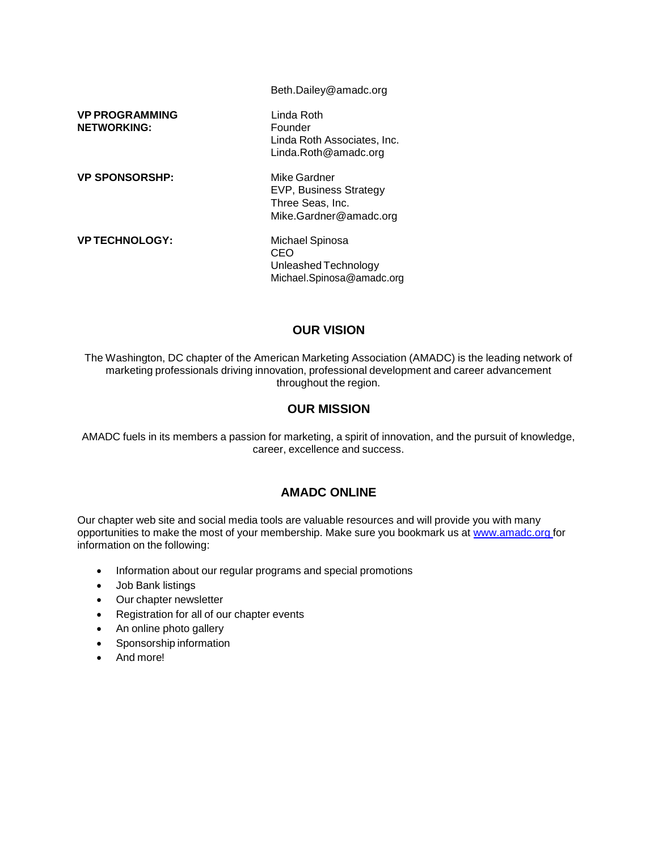|                                             | Beth.Dailey@amadc.org                                                                |
|---------------------------------------------|--------------------------------------------------------------------------------------|
| <b>VP PROGRAMMING</b><br><b>NETWORKING:</b> | Linda Roth.<br>Founder<br>Linda Roth Associates, Inc.<br>Linda.Roth@amadc.org        |
| <b>VP SPONSORSHP:</b>                       | Mike Gardner<br>EVP, Business Strategy<br>Three Seas, Inc.<br>Mike.Gardner@amadc.org |
| <b>VPTECHNOLOGY:</b>                        | Michael Spinosa<br>CEO<br>Unleashed Technology<br>Michael.Spinosa@amadc.org          |

# **OUR VISION**

The Washington, DC chapter of the American Marketing Association (AMADC) is the leading network of marketing professionals driving innovation, professional development and career advancement throughout the region.

### **OUR MISSION**

AMADC fuels in its members a passion for marketing, a spirit of innovation, and the pursuit of knowledge, career, excellence and success.

# **AMADC ONLINE**

Our chapter web site and social media tools are valuable resources and will provide you with many opportunities to make the most of your membership. Make sure you bookmark us at [www.amadc.org](http://www.amadc.org/) for information on the following:

- Information about our regular programs and special promotions
- Job Bank listings
- Our chapter newsletter
- Registration for all of our chapter events
- An online photo gallery
- Sponsorship information
- And more!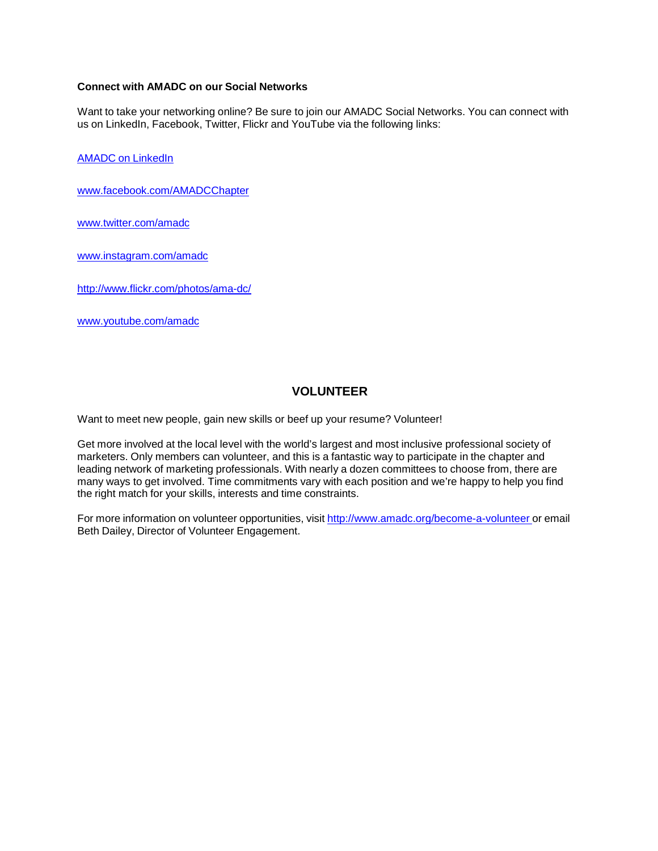#### **Connect with AMADC on our Social Networks**

Want to take your networking online? Be sure to join our AMADC Social Networks. You can connect with us on LinkedIn, Facebook, Twitter, Flickr and YouTube via the following links:

AMADC on [LinkedIn](http://www.linkedin.com/groups?mostPopular&gid=155904)

[www.facebook.com/AMADCChapter](http://www.facebook.com/AMADCChapter)

[www.twitter.com/amadc](http://www.twitter.com/amadc)

www.instagram.com/amadc

<http://www.flickr.com/photos/ama-dc/>

[www.youtube.com/amadc](http://www.youtube.com/amadc)

# **VOLUNTEER**

Want to meet new people, gain new skills or beef up your resume? Volunteer!

Get more involved at the local level with the world's largest and most inclusive professional society of marketers. Only members can volunteer, and this is a fantastic way to participate in the chapter and leading network of marketing professionals. With nearly a dozen committees to choose from, there are many ways to get involved. Time commitments vary with each position and we're happy to help you find the right match for your skills, interests and time constraints.

For more information on volunteer opportunities, visit <http://www.amadc.org/become-a-volunteer> or email Beth Dailey, Director of Volunteer Engagement.